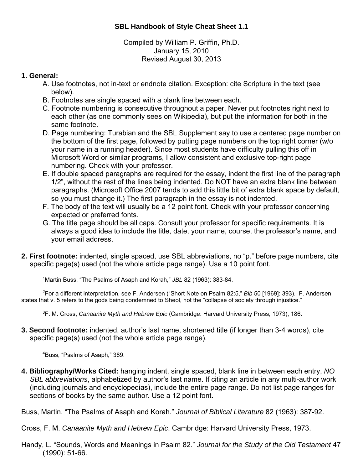Compiled by William P. Griffin, Ph.D. January 15, 2010 Revised August 30, 2013

## **1. General:**

- A. Use footnotes, not in-text or endnote citation. Exception: cite Scripture in the text (see below).
- B. Footnotes are single spaced with a blank line between each.
- C. Footnote numbering is consecutive throughout a paper. Never put footnotes right next to each other (as one commonly sees on Wikipedia), but put the information for both in the same footnote.
- D. Page numbering: Turabian and the SBL Supplement say to use a centered page number on the bottom of the first page, followed by putting page numbers on the top right corner (w/o your name in a running header). Since most students have difficulty pulling this off in Microsoft Word or similar programs, I allow consistent and exclusive top-right page numbering. Check with your professor.
- E. If double spaced paragraphs are required for the essay, indent the first line of the paragraph 1/2", without the rest of the lines being indented. Do NOT have an extra blank line between paragraphs. (Microsoft Office 2007 tends to add this little bit of extra blank space by default, so you must change it.) The first paragraph in the essay is not indented.
- F. The body of the text will usually be a 12 point font. Check with your professor concerning expected or preferred fonts.
- G. The title page should be all caps. Consult your professor for specific requirements. It is always a good idea to include the title, date, your name, course, the professor's name, and your email address.
- **2. First footnote:** indented, single spaced, use SBL abbreviations, no "p." before page numbers, cite specific page(s) used (not the whole article page range). Use a 10 point font.

1 Martin Buss, "The Psalms of Asaph and Korah," *JBL* 82 (1963): 383-84.

2 For a different interpretation, see F. Andersen ("Short Note on Psalm 82:5," *Bib* 50 [1969]: 393). F. Andersen states that v. 5 refers to the gods being condemned to Sheol, not the "collapse of society through injustice."

3 F. M. Cross, *Canaanite Myth and Hebrew Epic* (Cambridge: Harvard University Press, 1973), 186.

**3. Second footnote:** indented, author's last name, shortened title (if longer than 3-4 words), cite specific page(s) used (not the whole article page range).

4 Buss, "Psalms of Asaph," 389.

**4. Bibliography/Works Cited:** hanging indent, single spaced, blank line in between each entry, *NO SBL abbreviations*, alphabetized by author's last name. If citing an article in any multi-author work (including journals and encyclopedias), include the entire page range. Do not list page ranges for sections of books by the same author. Use a 12 point font.

Buss, Martin. "The Psalms of Asaph and Korah." *Journal of Biblical Literature* 82 (1963): 387-92.

Cross, F. M. *Canaanite Myth and Hebrew Epic*. Cambridge: Harvard University Press, 1973.

Handy, L. "Sounds, Words and Meanings in Psalm 82." *Journal for the Study of the Old Testament* 47 (1990): 51-66.